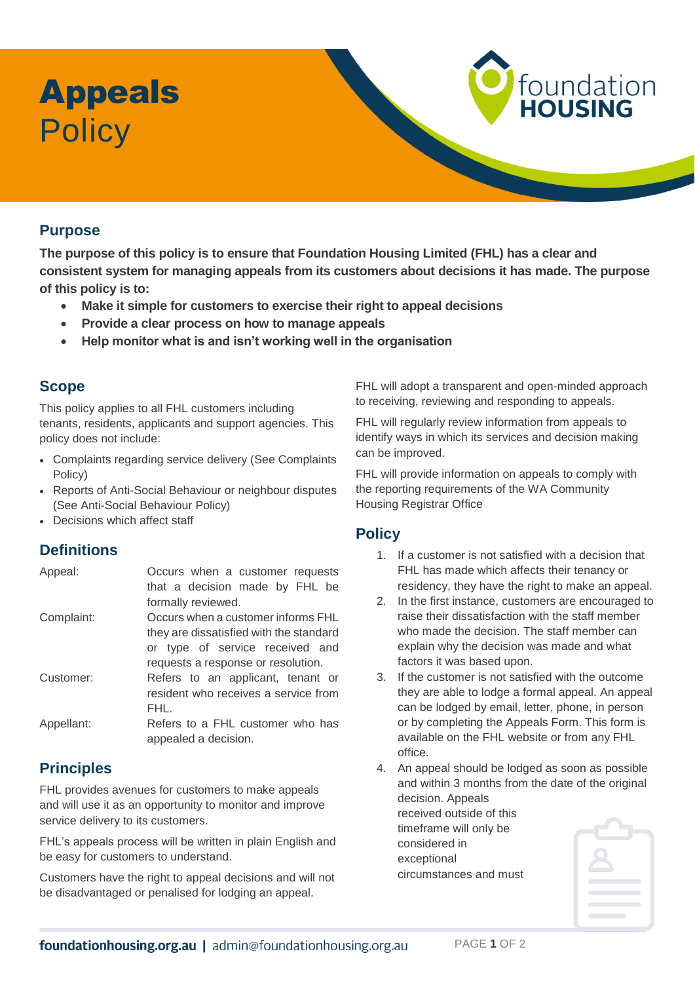# Appeals **Policy**

### **Purpose**

**The purpose of this policy is to ensure that Foundation Housing Limited (FHL) has a clear and consistent system for managing appeals from its customers about decisions it has made. The purpose of this policy is to:**

- **Make it simple for customers to exercise their right to appeal decisions**
- **Provide a clear process on how to manage appeals**
- **Help monitor what is and isn't working well in the organisation**

### **Scope**

This policy applies to all FHL customers including tenants, residents, applicants and support agencies. This policy does not include:

- Complaints regarding service delivery (See Complaints Policy)
- Reports of Anti-Social Behaviour or neighbour disputes (See Anti-Social Behaviour Policy)
- Decisions which affect staff

# **Definitions**

| Appeal:    | Occurs when a customer requests<br>that a decision made by FHL be<br>formally reviewed. |
|------------|-----------------------------------------------------------------------------------------|
| Complaint: | Occurs when a customer informs FHL                                                      |
|            | they are dissatisfied with the standard                                                 |
|            | or type of service received and                                                         |
|            | requests a response or resolution.                                                      |
| Customer:  | Refers to an applicant, tenant or                                                       |
|            | resident who receives a service from                                                    |
|            | FHL.                                                                                    |
| Appellant: | Refers to a FHL customer who has<br>appealed a decision.                                |
|            |                                                                                         |

# **Principles**

FHL provides avenues for customers to make appeals and will use it as an opportunity to monitor and improve service delivery to its customers.

FHL's appeals process will be written in plain English and be easy for customers to understand.

Customers have the right to appeal decisions and will not be disadvantaged or penalised for lodging an appeal.

FHL will adopt a transparent and open-minded approach to receiving, reviewing and responding to appeals.

foundation<br>HOUSING

FHL will regularly review information from appeals to identify ways in which its services and decision making can be improved.

FHL will provide information on appeals to comply with the reporting requirements of the WA Community Housing Registrar Office

#### **Policy**

- 1. If a customer is not satisfied with a decision that FHL has made which affects their tenancy or residency, they have the right to make an appeal.
- 2. In the first instance, customers are encouraged to raise their dissatisfaction with the staff member who made the decision. The staff member can explain why the decision was made and what factors it was based upon.
- 3. If the customer is not satisfied with the outcome they are able to lodge a formal appeal. An appeal can be lodged by email, letter, phone, in person or by completing the Appeals Form. This form is available on the FHL website or from any FHL office.
- 4. An appeal should be lodged as soon as possible and within 3 months from the date of the original decision. Appeals received outside of this timeframe will only be considered in exceptional circumstances and must